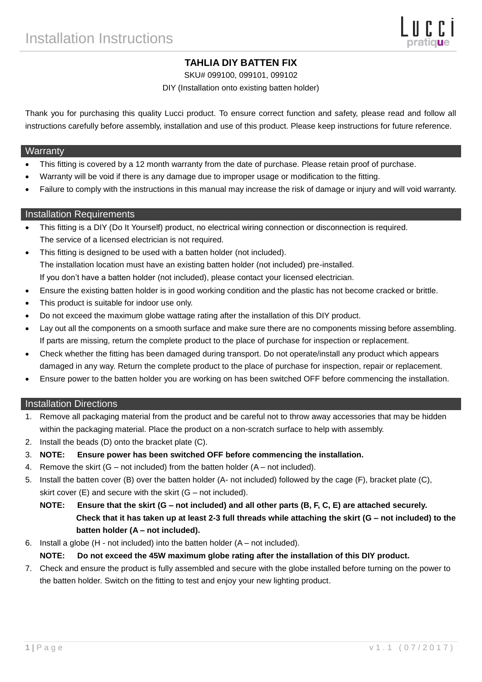# **TAHLIA DIY BATTEN FIX**

SKU# 099100, 099101, 099102

DIY (Installation onto existing batten holder)

Thank you for purchasing this quality Lucci product. To ensure correct function and safety, please read and follow all instructions carefully before assembly, installation and use of this product. Please keep instructions for future reference.

#### **Warranty**

- This fitting is covered by a 12 month warranty from the date of purchase. Please retain proof of purchase.
- Warranty will be void if there is any damage due to improper usage or modification to the fitting.
- Failure to comply with the instructions in this manual may increase the risk of damage or injury and will void warranty.

### Installation Requirements

- This fitting is a DIY (Do It Yourself) product, no electrical wiring connection or disconnection is required. The service of a licensed electrician is not required.
- This fitting is designed to be used with a batten holder (not included). The installation location must have an existing batten holder (not included) pre-installed. If you don't have a batten holder (not included), please contact your licensed electrician.
- Ensure the existing batten holder is in good working condition and the plastic has not become cracked or brittle.
- This product is suitable for indoor use only.
- Do not exceed the maximum globe wattage rating after the installation of this DIY product.
- Lay out all the components on a smooth surface and make sure there are no components missing before assembling. If parts are missing, return the complete product to the place of purchase for inspection or replacement.
- Check whether the fitting has been damaged during transport. Do not operate/install any product which appears damaged in any way. Return the complete product to the place of purchase for inspection, repair or replacement.
- Ensure power to the batten holder you are working on has been switched OFF before commencing the installation.

## Installation Directions

- 1. Remove all packaging material from the product and be careful not to throw away accessories that may be hidden within the packaging material. Place the product on a non-scratch surface to help with assembly.
- 2. Install the beads (D) onto the bracket plate (C).
- 3. **NOTE: Ensure power has been switched OFF before commencing the installation.**
- 4. Remove the skirt (G not included) from the batten holder (A not included).
- 5. Install the batten cover (B) over the batten holder (A- not included) followed by the cage (F), bracket plate (C), skirt cover (E) and secure with the skirt (G – not included).
	- **NOTE: Ensure that the skirt (G – not included) and all other parts (B, F, C, E) are attached securely. Check that it has taken up at least 2-3 full threads while attaching the skirt (G – not included) to the batten holder (A – not included).**
- 6. Install a globe (H not included) into the batten holder (A not included).

#### **NOTE: Do not exceed the 45W maximum globe rating after the installation of this DIY product.**

7. Check and ensure the product is fully assembled and secure with the globe installed before turning on the power to the batten holder. Switch on the fitting to test and enjoy your new lighting product.